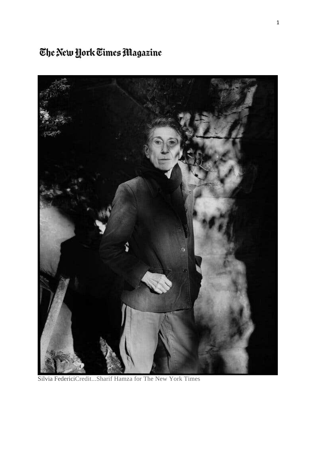### The New York Times Magazine



Silvia FedericiCredit...Sharif Hamza for The New York Times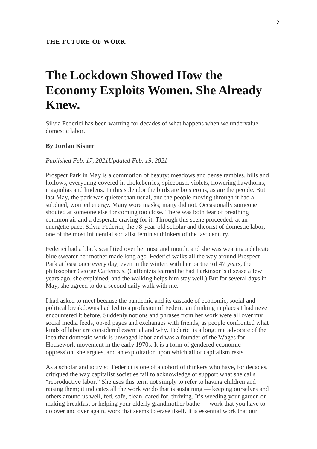## **The Lockdown Showed How the Economy Exploits Women. She Already Knew.**

Silvia Federici has been warning for decades of what happens when we undervalue domestic labor.

#### **By Jordan Kisner**

#### *Published Feb. 17, 2021Updated Feb. 19, 2021*

Prospect Park in May is a commotion of beauty: meadows and dense rambles, hills and hollows, everything covered in chokeberries, spicebush, violets, flowering hawthorns, magnolias and lindens. In this splendor the birds are boisterous, as are the people. But last May, the park was quieter than usual, and the people moving through it had a subdued, worried energy. Many wore masks; many did not. Occasionally someone shouted at someone else for coming too close. There was both fear of breathing common air and a desperate craving for it. Through this scene proceeded, at an energetic pace, Silvia Federici, the 78-year-old scholar and theorist of domestic labor, one of the most influential socialist feminist thinkers of the last century.

Federici had a black scarf tied over her nose and mouth, and she was wearing a delicate blue sweater her mother made long ago. Federici walks all the way around Prospect Park at least once every day, even in the winter, with her partner of 47 years, the philosopher George Caffentzis. (Caffentzis learned he had Parkinson's disease a few years ago, she explained, and the walking helps him stay well.) But for several days in May, she agreed to do a second daily walk with me.

I had asked to meet because the pandemic and its cascade of economic, social and political breakdowns had led to a profusion of Federician thinking in places I had never encountered it before. Suddenly notions and phrases from her work were all over my social media feeds, op-ed pages and exchanges with friends, as people confronted what kinds of labor are considered essential and why. Federici is a longtime advocate of the idea that domestic work is unwaged labor and was a founder of the Wages for Housework movement in the early 1970s. It is a form of gendered economic oppression, she argues, and an exploitation upon which all of capitalism rests.

As a scholar and activist, Federici is one of a cohort of thinkers who have, for decades, critiqued the way capitalist societies fail to acknowledge or support what she calls "reproductive labor." She uses this term not simply to refer to having children and raising them; it indicates all the work we do that is sustaining — keeping ourselves and others around us well, fed, safe, clean, cared for, thriving. It's weeding your garden or making breakfast or helping your elderly grandmother bathe — work that you have to do over and over again, work that seems to erase itself. It is essential work that our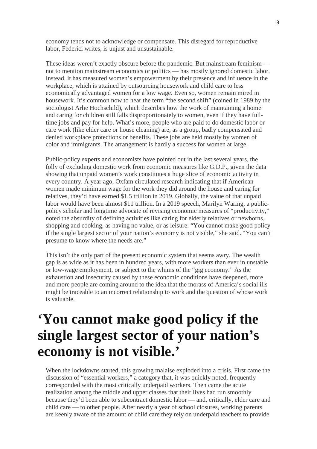economy tends not to acknowledge or compensate. This disregard for reproductive labor, Federici writes, is unjust and unsustainable.

These ideas weren't exactly obscure before the pandemic. But mainstream feminism not to mention mainstream economics or politics — has mostly ignored domestic labor. Instead, it has measured women's empowerment by their presence and influence in the workplace, which is attained by outsourcing housework and child care to less economically advantaged women for a low wage. Even so, women remain mired in housework. It's common now to hear the term "the second shift" (coined in 1989 by the sociologist Arlie Hochschild), which describes how the work of maintaining a home and caring for children still falls disproportionately to women, even if they have fulltime jobs and pay for help. What's more, people who are paid to do domestic labor or care work (like elder care or house cleaning) are, as a group, badly compensated and denied workplace protections or benefits. These jobs are held mostly by women of color and immigrants. The arrangement is hardly a success for women at large.

Public-policy experts and economists have pointed out in the last several years, the folly of excluding domestic work from economic measures like G.D.P., given the data showing that unpaid women's work constitutes a huge slice of economic activity in every country. A year ago, Oxfam circulated research indicating that if American women made minimum wage for the work they did around the house and caring for relatives, they'd have earned \$1.5 trillion in 2019. Globally, the value of that unpaid labor would have been almost \$11 trillion. In a 2019 speech, Marilyn Waring, a publicpolicy scholar and longtime advocate of revising economic measures of "productivity," noted the absurdity of defining activities like caring for elderly relatives or newborns, shopping and cooking, as having no value, or as leisure. "You cannot make good policy if the single largest sector of your nation's economy is not visible," she said. "You can't presume to know where the needs are."

This isn't the only part of the present economic system that seems awry. The wealth gap is as wide as it has been in hundred years, with more workers than ever in unstable or low-wage employment, or subject to the whims of the "gig economy." As the exhaustion and insecurity caused by these economic conditions have deepened, more and more people are coming around to the idea that the morass of America's social ills might be traceable to an incorrect relationship to work and the question of whose work is valuable.

## **'You cannot make good policy if the single largest sector of your nation's economy is not visible.'**

When the lockdowns started, this growing malaise exploded into a crisis. First came the discussion of "essential workers," a category that, it was quickly noted, frequently corresponded with the most critically underpaid workers. Then came the acute realization among the middle and upper classes that their lives had run smoothly because they'd been able to subcontract domestic labor — and, critically, elder care and child care — to other people. After nearly a year of school closures, working parents are keenly aware of the amount of child care they rely on underpaid teachers to provide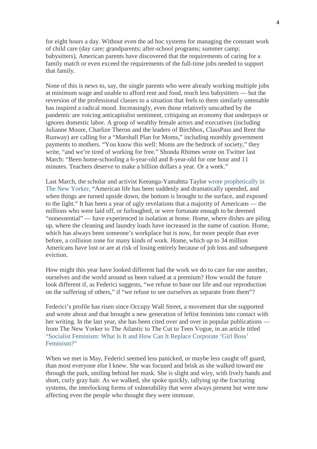for eight hours a day. Without even the ad hoc systems for managing the constant work of child care (day care; grandparents; after-school programs; summer camp; babysitters), American parents have discovered that the requirements of caring for a family match or even exceed the requirements of the full-time jobs needed to support that family.

None of this is news to, say, the single parents who were already working multiple jobs at minimum wage and unable to afford rent and food, much less babysitters — but the reversion of the professional classes to a situation that feels to them similarly untenable has inspired a radical mood. Increasingly, even those relatively unscathed by the pandemic are voicing anticapitalist sentiment, critiquing an economy that underpays or ignores domestic labor. A group of wealthy female actors and executives (including Julianne Moore, Charlize Theron and the leaders of Birchbox, ClassPass and Rent the Runway) are calling for a "Marshall Plan for Moms," including monthly government payments to mothers. "You know this well: Moms are the bedrock of society," they write, "and we're tired of working for free." Shonda Rhimes wrote on Twitter last March: "Been home-schooling a 6-year-old and 8-year-old for one hour and 11 minutes. Teachers deserve to make a billion dollars a year. Or a week."

Last March, the scholar and activist Keeanga-Yamahtta Taylor wrote prophetically in The New Yorker, "American life has been suddenly and dramatically upended, and when things are turned upside down, the bottom is brought to the surface, and exposed to the light." It has been a year of ugly revelations that a majority of Americans — the millions who were laid off, or furloughed, or were fortunate enough to be deemed "nonessential" — have experienced in isolation at home. Home, where dishes are piling up, where the cleaning and laundry loads have increased in the name of caution. Home, which has always been someone's workplace but is now, for more people than ever before, a collision zone for many kinds of work. Home, which up to 34 million Americans have lost or are at risk of losing entirely because of job loss and subsequent eviction.

How might this year have looked different had the work we do to care for one another, ourselves and the world around us been valued at a premium? How would the future look different if, as Federici suggests, "we refuse to base our life and our reproduction on the suffering of others," if "we refuse to see ourselves as separate from them"?

Federici's profile has risen since Occupy Wall Street, a movement that she supported and wrote about and that brought a new generation of leftist feminists into contact with her writing. In the last year, she has been cited over and over in popular publications from The New Yorker to The Atlantic to The Cut to Teen Vogue, in an article titled "Socialist Feminism: What Is It and How Can It Replace Corporate 'Girl Boss' Feminism?"

When we met in May, Federici seemed less panicked, or maybe less caught off guard, than most everyone else I knew. She was focused and brisk as she walked toward me through the park, smiling behind her mask. She is slight and wiry, with lively hands and short, curly gray hair. As we walked, she spoke quickly, tallying up the fracturing systems, the interlocking forms of vulnerability that were always present but were now affecting even the people who thought they were immune.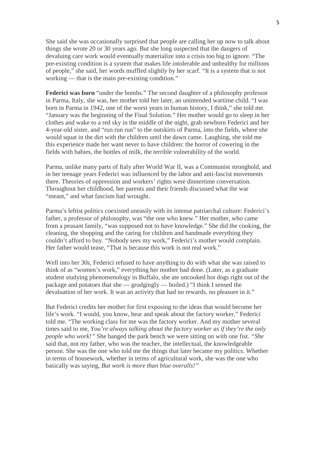She said she was occasionally surprised that people are calling her up now to talk about things she wrote 20 or 30 years ago. But she long suspected that the dangers of devaluing care work would eventually materialize into a crisis too big to ignore. "The pre-existing condition is a system that makes life intolerable and unhealthy for millions of people," she said, her words muffled slightly by her scarf. "It is a system that is not working — that is the main pre-existing condition."

**Federici was born** "under the bombs." The second daughter of a philosophy professor in Parma, Italy, she was, her mother told her later, an unintended wartime child. "I was born in Parma in 1942, one of the worst years in human history, I think," she told me. "January was the beginning of the Final Solution." Her mother would go to sleep in her clothes and wake to a red sky in the middle of the night, grab newborn Federici and her 4-year-old sister, and "run run run" to the outskirts of Parma, into the fields, where she would squat in the dirt with the children until the dawn came. Laughing, she told me this experience made her want never to have children: the horror of cowering in the fields with babies, the bottles of milk, the terrible vulnerability of the world.

Parma, unlike many parts of Italy after World War II, was a Communist stronghold, and in her teenage years Federici was influenced by the labor and anti-fascist movements there. Theories of oppression and workers' rights were dinnertime conversation. Throughout her childhood, her parents and their friends discussed what the war "meant," and what fascism had wrought.

Parma's leftist politics coexisted uneasily with its intense patriarchal culture: Federici's father, a professor of philosophy, was "the one who knew." Her mother, who came from a peasant family, "was supposed not to have knowledge." She did the cooking, the cleaning, the shopping and the caring for children and handmade everything they couldn't afford to buy. "Nobody sees my work," Federici's mother would complain. Her father would tease, "That is because this work is not real work."

Well into her 30s, Federici refused to have anything to do with what she was raised to think of as "women's work," everything her mother had done. (Later, as a graduate student studying phenomenology in Buffalo, she ate uncooked hot dogs right out of the package and potatoes that she — grudgingly — boiled.) "I think I sensed the devaluation of her work. It was an activity that had no rewards, no pleasure in it."

But Federici credits her mother for first exposing to the ideas that would become her life's work. "I would, you know, hear and speak about the factory worker," Federici told me. "The working class for me was the factory worker. And my mother several times said to me, *You're always talking about the factory worker as if they're the only people who work!"* She banged the park bench we were sitting on with one fist. *"She* said that, not my father, who was the teacher, the intellectual, the knowledgeable person. She was the one who told me the things that later became my politics. Whether in terms of housework, whether in terms of agricultural work, she was the one who basically was saying, *But work is more than blue overalls!"*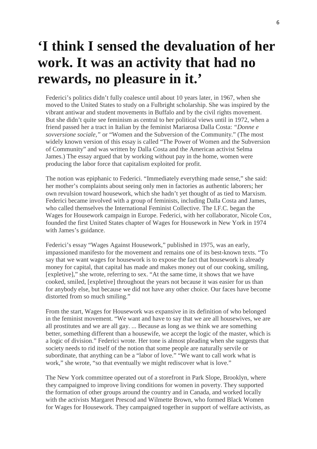# **'I think I sensed the devaluation of her work. It was an activity that had no rewards, no pleasure in it.'**

Federici's politics didn't fully coalesce until about 10 years later, in 1967, when she moved to the United States to study on a Fulbright scholarship. She was inspired by the vibrant antiwar and student movements in Buffalo and by the civil rights movement. But she didn't quite see feminism as central to her political views until in 1972, when a friend passed her a tract in Italian by the feminist Mariarosa Dalla Costa: *"Donne e sovversione sociale,"* or "Women and the Subversion of the Community." (The most widely known version of this essay is called "The Power of Women and the Subversion of Community" and was written by Dalla Costa and the American activist Selma James.) The essay argued that by working without pay in the home, women were producing the labor force that capitalism exploited for profit.

The notion was epiphanic to Federici. "Immediately everything made sense," she said: her mother's complaints about seeing only men in factories as authentic laborers; her own revulsion toward housework, which she hadn't yet thought of as tied to Marxism. Federici became involved with a group of feminists, including Dalla Costa and James, who called themselves the International Feminist Collective. The I.F.C. began the Wages for Housework campaign in Europe. Federici, with her collaborator, Nicole Cox, founded the first United States chapter of Wages for Housework in New York in 1974 with James's guidance.

Federici's essay "Wages Against Housework," published in 1975, was an early, impassioned manifesto for the movement and remains one of its best-known texts. "To say that we want wages for housework is to expose the fact that housework is already money for capital, that capital has made and makes money out of our cooking, smiling, [expletive]," she wrote, referring to sex. "At the same time, it shows that we have cooked, smiled, [expletive] throughout the years not because it was easier for us than for anybody else, but because we did not have any other choice. Our faces have become distorted from so much smiling."

From the start, Wages for Housework was expansive in its definition of who belonged in the feminist movement. "We want and have to say that we are all housewives, we are all prostitutes and we are all gay. ... Because as long as we think we are something better, something different than a housewife, we accept the logic of the master, which is a logic of division." Federici wrote. Her tone is almost pleading when she suggests that society needs to rid itself of the notion that some people are naturally servile or subordinate, that anything can be a "labor of love." "We want to call work what is work," she wrote, "so that eventually we might rediscover what is love."

The New York committee operated out of a storefront in Park Slope, Brooklyn, where they campaigned to improve living conditions for women in poverty. They supported the formation of other groups around the country and in Canada, and worked locally with the activists Margaret Prescod and Wilmette Brown, who formed Black Women for Wages for Housework. They campaigned together in support of welfare activists, as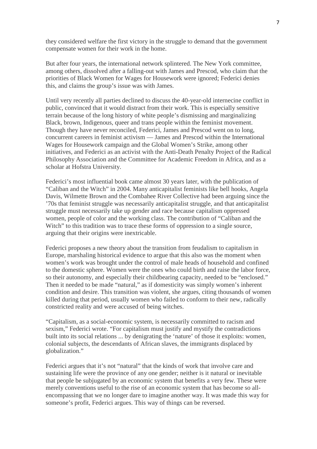they considered welfare the first victory in the struggle to demand that the government compensate women for their work in the home.

But after four years, the international network splintered. The New York committee, among others, dissolved after a falling-out with James and Prescod, who claim that the priorities of Black Women for Wages for Housework were ignored; Federici denies this, and claims the group's issue was with James.

Until very recently all parties declined to discuss the 40-year-old internecine conflict in public, convinced that it would distract from their work. This is especially sensitive terrain because of the long history of white people's dismissing and marginalizing Black, brown, Indigenous, queer and trans people within the feminist movement. Though they have never reconciled, Federici, James and Prescod went on to long, concurrent careers in feminist activism — James and Prescod within the International Wages for Housework campaign and the Global Women's Strike, among other initiatives, and Federici as an activist with the Anti-Death Penalty Project of the Radical Philosophy Association and the Committee for Academic Freedom in Africa, and as a scholar at Hofstra University.

Federici's most influential book came almost 30 years later, with the publication of "Caliban and the Witch" in 2004. Many anticapitalist feminists like bell hooks, Angela Davis, Wilmette Brown and the Combahee River Collective had been arguing since the '70s that feminist struggle was necessarily anticapitalist struggle, and that anticapitalist struggle must necessarily take up gender and race because capitalism oppressed women, people of color and the working class. The contribution of "Caliban and the Witch" to this tradition was to trace these forms of oppression to a single source, arguing that their origins were inextricable.

Federici proposes a new theory about the transition from feudalism to capitalism in Europe, marshaling historical evidence to argue that this also was the moment when women's work was brought under the control of male heads of household and confined to the domestic sphere. Women were the ones who could birth and raise the labor force, so their autonomy, and especially their childbearing capacity, needed to be "enclosed." Then it needed to be made "natural," as if domesticity was simply women's inherent condition and desire. This transition was violent, she argues, citing thousands of women killed during that period, usually women who failed to conform to their new, radically constricted reality and were accused of being witches.

"Capitalism, as a social-economic system, is necessarily committed to racism and sexism," Federici wrote. "For capitalism must justify and mystify the contradictions built into its social relations ... by denigrating the 'nature' of those it exploits: women, colonial subjects, the descendants of African slaves, the immigrants displaced by globalization."

Federici argues that it's not "natural" that the kinds of work that involve care and sustaining life were the province of any one gender; neither is it natural or inevitable that people be subjugated by an economic system that benefits a very few. These were merely conventions useful to the rise of an economic system that has become so allencompassing that we no longer dare to imagine another way. It was made this way for someone's profit, Federici argues. This way of things can be reversed.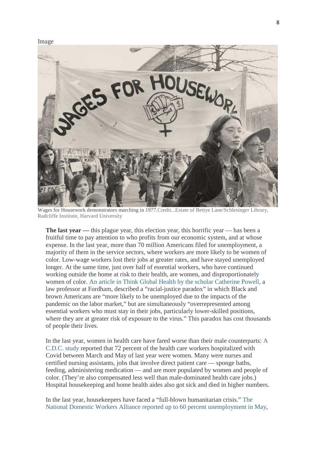Image



Wages for Housework demonstrators marching in 1977.Credit...Estate of Bettye Lane/Schlesinger Library, Radcliffe Institute, Harvard University

**The last year** — this plague year, this election year, this horrific year — has been a fruitful time to pay attention to who profits from our economic system, and at whose expense. In the last year, more than 70 million Americans filed for unemployment, a majority of them in the service sectors, where workers are more likely to be women of color. Low-wage workers lost their jobs at greater rates, and have stayed unemployed longer. At the same time, just over half of essential workers, who have continued working outside the home at risk to their health, are women, and disproportionately women of color. An article in Think Global Health by the scholar Catherine Powell, a law professor at Fordham, described a "racial-justice paradox" in which Black and brown Americans are "more likely to be unemployed due to the impacts of the pandemic on the labor market," but are simultaneously "overrepresented among essential workers who must stay in their jobs, particularly lower-skilled positions, where they are at greater risk of exposure to the virus." This paradox has cost thousands of people their lives.

In the last year, women in health care have fared worse than their male counterparts: A C.D.C. study reported that 72 percent of the health care workers hospitalized with Covid between March and May of last year were women. Many were nurses and certified nursing assistants, jobs that involve direct patient care — sponge baths, feeding, administering medication — and are more populated by women and people of color. (They're also compensated less well than male-dominated health care jobs.) Hospital housekeeping and home health aides also got sick and died in higher numbers.

In the last year, housekeepers have faced a "full-blown humanitarian crisis." The National Domestic Workers Alliance reported up to 60 percent unemployment in May,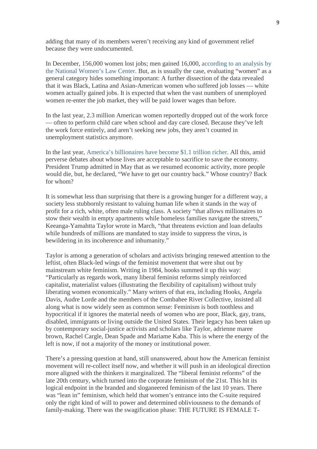adding that many of its members weren't receiving any kind of government relief because they were undocumented.

In December, 156,000 women lost jobs; men gained 16,000, according to an analysis by the National Women's Law Center. But, as is usually the case, evaluating "women" as a general category hides something important: A further dissection of the data revealed that it was Black, Latina and Asian-American women who suffered job losses — white women actually gained jobs. It is expected that when the vast numbers of unemployed women re-enter the job market, they will be paid lower wages than before.

In the last year, 2.3 million American women reportedly dropped out of the work force — often to perform child care when school and day care closed. Because they've left the work force entirely, and aren't seeking new jobs, they aren't counted in unemployment statistics anymore.

In the last year, America's billionaires have become \$1.1 trillion richer. All this, amid perverse debates about whose lives are acceptable to sacrifice to save the economy. President Trump admitted in May that as we resumed economic activity, more people would die, but, he declared, "We have to get our country back." Whose country? Back for whom?

It is somewhat less than surprising that there is a growing hunger for a different way, a society less stubbornly resistant to valuing human life when it stands in the way of profit for a rich, white, often male ruling class. A society "that allows millionaires to stow their wealth in empty apartments while homeless families navigate the streets," Keeanga-Yamahtta Taylor wrote in March, "that threatens eviction and loan defaults while hundreds of millions are mandated to stay inside to suppress the virus, is bewildering in its incoherence and inhumanity."

Taylor is among a generation of scholars and activists bringing renewed attention to the leftist, often Black-led wings of the feminist movement that were shut out by mainstream white feminism. Writing in 1984, hooks summed it up this way: "Particularly as regards work, many liberal feminist reforms simply reinforced capitalist, materialist values (illustrating the flexibility of capitalism) without truly liberating women economically." Many writers of that era, including Hooks, Angela Davis, Audre Lorde and the members of the Combahee River Collective, insisted all along what is now widely seen as common sense: Feminism is both toothless and hypocritical if it ignores the material needs of women who are poor, Black, gay, trans, disabled, immigrants or living outside the United States. Their legacy has been taken up by contemporary social-justice activists and scholars like Taylor, adrienne maree brown, Rachel Cargle, Dean Spade and Mariame Kaba. This is where the energy of the left is now, if not a majority of the money or institutional power.

There's a pressing question at hand, still unanswered, about how the American feminist movement will re-collect itself now, and whether it will push in an ideological direction more aligned with the thinkers it marginalized. The "liberal feminist reforms" of the late 20th century, which turned into the corporate feminism of the 21st. This hit its logical endpoint in the branded and sloganeered feminism of the last 10 years. There was "lean in" feminism, which held that women's entrance into the C-suite required only the right kind of will to power and determined obliviousness to the demands of family-making. There was the swagification phase: THE FUTURE IS FEMALE T-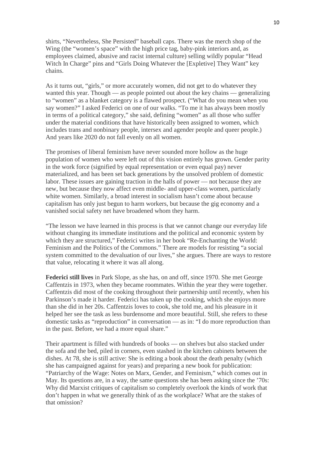shirts, "Nevertheless, She Persisted" baseball caps. There was the merch shop of the Wing (the "women's space" with the high price tag, baby-pink interiors and, as employees claimed, abusive and racist internal culture) selling wildly popular "Head Witch In Charge" pins and "Girls Doing Whatever the [Expletive] They Want" key chains.

As it turns out, "girls," or more accurately women, did not get to do whatever they wanted this year. Though — as people pointed out about the key chains — generalizing to "women" as a blanket category is a flawed prospect. ("What do you mean when you say women?" I asked Federici on one of our walks. "To me it has always been mostly in terms of a political category," she said, defining "women" as all those who suffer under the material conditions that have historically been assigned to women, which includes trans and nonbinary people, intersex and agender people and queer people.) And years like 2020 do not fall evenly on all women.

The promises of liberal feminism have never sounded more hollow as the huge population of women who were left out of this vision entirely has grown. Gender parity in the work force (signified by equal representation or even equal pay) never materialized, and has been set back generations by the unsolved problem of domestic labor. These issues are gaining traction in the halls of power — not because they are new, but because they now affect even middle- and upper-class women, particularly white women. Similarly, a broad interest in socialism hasn't come about because capitalism has only just begun to harm workers, but because the gig economy and a vanished social safety net have broadened whom they harm.

"The lesson we have learned in this process is that we cannot change our everyday life without changing its immediate institutions and the political and economic system by which they are structured," Federici writes in her book "Re-Enchanting the World: Feminism and the Politics of the Commons." There are models for resisting "a social system committed to the devaluation of our lives," she argues. There are ways to restore that value, relocating it where it was all along.

**Federici still lives** in Park Slope, as she has, on and off, since 1970. She met George Caffentzis in 1973, when they became roommates. Within the year they were together. Caffentzis did most of the cooking throughout their partnership until recently, when his Parkinson's made it harder. Federici has taken up the cooking, which she enjoys more than she did in her 20s. Caffentzis loves to cook, she told me, and his pleasure in it helped her see the task as less burdensome and more beautiful. Still, she refers to these domestic tasks as "reproduction" in conversation — as in: "I do more reproduction than in the past. Before, we had a more equal share."

Their apartment is filled with hundreds of books — on shelves but also stacked under the sofa and the bed, piled in corners, even stashed in the kitchen cabinets between the dishes. At 78, she is still active: She is editing a book about the death penalty (which she has campaigned against for years) and preparing a new book for publication: "Patriarchy of the Wage: Notes on Marx, Gender, and Feminism," which comes out in May. Its questions are, in a way, the same questions she has been asking since the '70s: Why did Marxist critiques of capitalism so completely overlook the kinds of work that don't happen in what we generally think of as the workplace? What are the stakes of that omission?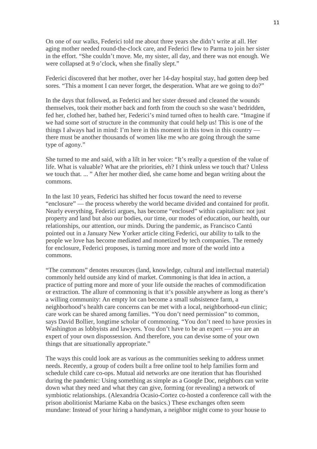On one of our walks, Federici told me about three years she didn't write at all. Her aging mother needed round-the-clock care, and Federici flew to Parma to join her sister in the effort. "She couldn't move. Me, my sister, all day, and there was not enough. We were collapsed at 9 o'clock, when she finally slept."

Federici discovered that her mother, over her 14-day hospital stay, had gotten deep bed sores. "This a moment I can never forget, the desperation. What are we going to do?"

In the days that followed, as Federici and her sister dressed and cleaned the wounds themselves, took their mother back and forth from the couch so she wasn't bedridden, fed her, clothed her, bathed her, Federici's mind turned often to health care. "Imagine if we had some sort of structure in the community that could help us! This is one of the things I always had in mind: I'm here in this moment in this town in this country there must be another thousands of women like me who are going through the same type of agony."

She turned to me and said, with a lilt in her voice: "It's really a question of the value of life. What is valuable? What are the priorities, eh? I think unless we touch that? Unless we touch that. ... " After her mother died, she came home and began writing about the commons.

In the last 10 years, Federici has shifted her focus toward the need to reverse "enclosure" — the process whereby the world became divided and contained for profit. Nearly everything, Federici argues, has become "enclosed" within capitalism: not just property and land but also our bodies, our time, our modes of education, our health, our relationships, our attention, our minds. During the pandemic, as Francisco Cantú pointed out in a January New Yorker article citing Federici, our ability to talk to the people we love has become mediated and monetized by tech companies. The remedy for enclosure, Federici proposes, is turning more and more of the world into a commons.

"The commons" denotes resources (land, knowledge, cultural and intellectual material) commonly held outside any kind of market. Commoning is that idea in action, a practice of putting more and more of your life outside the reaches of commodification or extraction. The allure of commoning is that it's possible anywhere as long as there's a willing community: An empty lot can become a small subsistence farm, a neighborhood's health care concerns can be met with a local, neighborhood-run clinic; care work can be shared among families. "You don't need permission" to common, says David Bollier, longtime scholar of commoning. "You don't need to have proxies in Washington as lobbyists and lawyers. You don't have to be an expert — you are an expert of your own dispossession. And therefore, you can devise some of your own things that are situationally appropriate."

The ways this could look are as various as the communities seeking to address unmet needs. Recently, a group of coders built a free online tool to help families form and schedule child care co-ops. Mutual aid networks are one iteration that has flourished during the pandemic: Using something as simple as a Google Doc, neighbors can write down what they need and what they can give, forming (or revealing) a network of symbiotic relationships. (Alexandria Ocasio-Cortez co-hosted a conference call with the prison abolitionist Mariame Kaba on the basics.) These exchanges often seem mundane: Instead of your hiring a handyman, a neighbor might come to your house to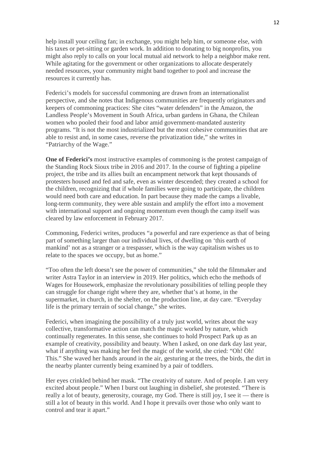help install your ceiling fan; in exchange, you might help him, or someone else, with his taxes or pet-sitting or garden work. In addition to donating to big nonprofits, you might also reply to calls on your local mutual aid network to help a neighbor make rent. While agitating for the government or other organizations to allocate desperately needed resources, your community might band together to pool and increase the resources it currently has.

Federici's models for successful commoning are drawn from an internationalist perspective, and she notes that Indigenous communities are frequently originators and keepers of commoning practices: She cites "water defenders" in the Amazon, the Landless People's Movement in South Africa, urban gardens in Ghana, the Chilean women who pooled their food and labor amid government-mandated austerity programs. "It is not the most industrialized but the most cohesive communities that are able to resist and, in some cases, reverse the privatization tide," she writes in "Patriarchy of the Wage."

**One of Federici's** most instructive examples of commoning is the protest campaign of the Standing Rock Sioux tribe in 2016 and 2017. In the course of fighting a pipeline project, the tribe and its allies built an encampment network that kept thousands of protesters housed and fed and safe, even as winter descended; they created a school for the children, recognizing that if whole families were going to participate, the children would need both care and education. In part because they made the camps a livable, long-term community, they were able sustain and amplify the effort into a movement with international support and ongoing momentum even though the camp itself was cleared by law enforcement in February 2017.

Commoning, Federici writes, produces "a powerful and rare experience as that of being part of something larger than our individual lives, of dwelling on 'this earth of mankind' not as a stranger or a trespasser, which is the way capitalism wishes us to relate to the spaces we occupy, but as home."

"Too often the left doesn't see the power of communities," she told the filmmaker and writer Astra Taylor in an interview in 2019. Her politics, which echo the methods of Wages for Housework, emphasize the revolutionary possibilities of telling people they can struggle for change right where they are, whether that's at home, in the supermarket, in church, in the shelter, on the production line, at day care. "Everyday life is the primary terrain of social change," she writes.

Federici, when imagining the possibility of a truly just world, writes about the way collective, transformative action can match the magic worked by nature, which continually regenerates. In this sense, she continues to hold Prospect Park up as an example of creativity, possibility and beauty. When I asked, on one dark day last year, what if anything was making her feel the magic of the world, she cried: "Oh! Oh! This." She waved her hands around in the air, gesturing at the trees, the birds, the dirt in the nearby planter currently being examined by a pair of toddlers.

Her eyes crinkled behind her mask. "The creativity of nature. And of people. I am very excited about people." When I burst out laughing in disbelief, she protested. "There is really a lot of beauty, generosity, courage, my God. There is still joy, I see it — there is still a lot of beauty in this world. And I hope it prevails over those who only want to control and tear it apart."